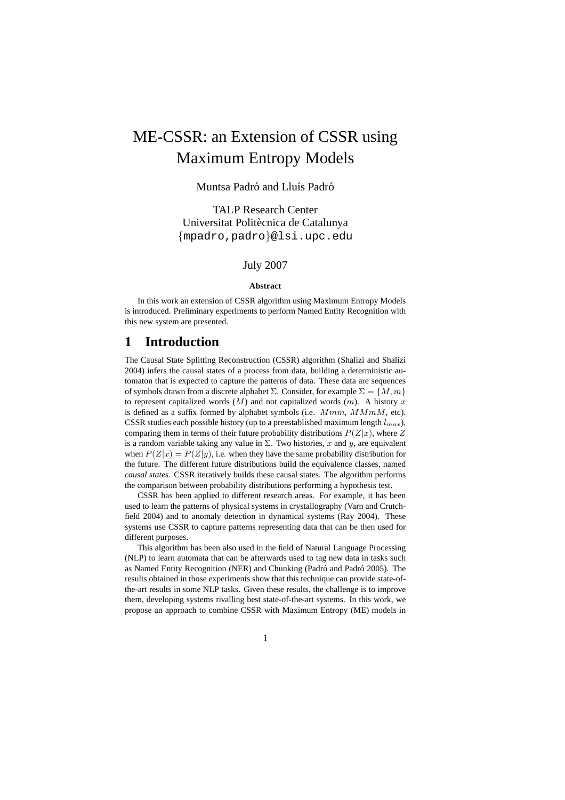# ME-CSSR: an Extension of CSSR using Maximum Entropy Models

### Muntsa Padró and Lluís Padró

TALP Research Center Universitat Politècnica de Catalunya {mpadro,padro}@lsi.upc.edu

### July 2007

#### **Abstract**

In this work an extension of CSSR algorithm using Maximum Entropy Models is introduced. Preliminary experiments to perform Named Entity Recognition with this new system are presented.

# **1 Introduction**

The Causal State Splitting Reconstruction (CSSR) algorithm (Shalizi and Shalizi 2004) infers the causal states of a process from data, building a deterministic automaton that is expected to capture the patterns of data. These data are sequences of symbols drawn from a discrete alphabet  $\Sigma$ . Consider, for example  $\Sigma = \{M, m\}$ to represent capitalized words  $(M)$  and not capitalized words  $(m)$ . A history x is defined as a suffix formed by alphabet symbols (i.e.  $Mmm$ ,  $MMM$ , etc). CSSR studies each possible history (up to a preestablished maximum length  $l_{max}$ ), comparing them in terms of their future probability distributions  $P(Z|x)$ , where Z is a random variable taking any value in  $\Sigma$ . Two histories, x and y, are equivalent when  $P(Z|x) = P(Z|y)$ , i.e. when they have the same probability distribution for the future. The different future distributions build the equivalence classes, named *causal states*. CSSR iteratively builds these causal states. The algorithm performs the comparison between probability distributions performing a hypothesis test.

CSSR has been applied to different research areas. For example, it has been used to learn the patterns of physical systems in crystallography (Varn and Crutchfield 2004) and to anomaly detection in dynamical systems (Ray 2004). These systems use CSSR to capture patterns representing data that can be then used for different purposes.

This algorithm has been also used in the field of Natural Language Processing (NLP) to learn automata that can be afterwards used to tag new data in tasks such as Named Entity Recognition (NER) and Chunking (Padró and Padró 2005). The results obtained in those experiments show that this technique can provide state-ofthe-art results in some NLP tasks. Given these results, the challenge is to improve them, developing systems rivalling best state-of-the-art systems. In this work, we propose an approach to combine CSSR with Maximum Entropy (ME) models in

1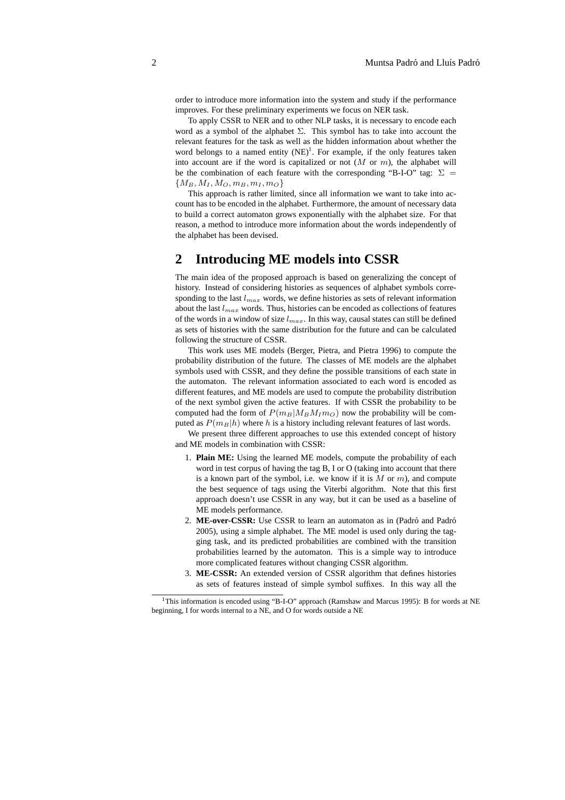order to introduce more information into the system and study if the performance improves. For these preliminary experiments we focus on NER task.

To apply CSSR to NER and to other NLP tasks, it is necessary to encode each word as a symbol of the alphabet  $\Sigma$ . This symbol has to take into account the relevant features for the task as well as the hidden information about whether the word belongs to a named entity  $(NE)^1$ . For example, if the only features taken into account are if the word is capitalized or not  $(M \text{ or } m)$ , the alphabet will be the combination of each feature with the corresponding "B-I-O" tag:  $\Sigma =$  ${M_B, M_I, M_O, m_B, m_I, m_O}$ 

This approach is rather limited, since all information we want to take into account has to be encoded in the alphabet. Furthermore, the amount of necessary data to build a correct automaton grows exponentially with the alphabet size. For that reason, a method to introduce more information about the words independently of the alphabet has been devised.

## **2 Introducing ME models into CSSR**

The main idea of the proposed approach is based on generalizing the concept of history. Instead of considering histories as sequences of alphabet symbols corresponding to the last  $l_{max}$  words, we define histories as sets of relevant information about the last  $l_{max}$  words. Thus, histories can be encoded as collections of features of the words in a window of size  $l_{max}$ . In this way, causal states can still be defined as sets of histories with the same distribution for the future and can be calculated following the structure of CSSR.

This work uses ME models (Berger, Pietra, and Pietra 1996) to compute the probability distribution of the future. The classes of ME models are the alphabet symbols used with CSSR, and they define the possible transitions of each state in the automaton. The relevant information associated to each word is encoded as different features, and ME models are used to compute the probability distribution of the next symbol given the active features. If with CSSR the probability to be computed had the form of  $P(m_B|M_BM_Im_O)$  now the probability will be computed as  $P(m_B|h)$  where h is a history including relevant features of last words.

We present three different approaches to use this extended concept of history and ME models in combination with CSSR:

- 1. **Plain ME:** Using the learned ME models, compute the probability of each word in test corpus of having the tag B, I or O (taking into account that there is a known part of the symbol, i.e. we know if it is  $M$  or  $m$ ), and compute the best sequence of tags using the Viterbi algorithm. Note that this first approach doesn't use CSSR in any way, but it can be used as a baseline of ME models performance.
- 2. ME-over-CSSR: Use CSSR to learn an automaton as in (Padró and Padró 2005), using a simple alphabet. The ME model is used only during the tagging task, and its predicted probabilities are combined with the transition probabilities learned by the automaton. This is a simple way to introduce more complicated features without changing CSSR algorithm.
- 3. **ME-CSSR:** An extended version of CSSR algorithm that defines histories as sets of features instead of simple symbol suffixes. In this way all the

<sup>&</sup>lt;sup>1</sup>This information is encoded using "B-I-O" approach (Ramshaw and Marcus 1995): B for words at NE beginning, I for words internal to a NE, and O for words outside a NE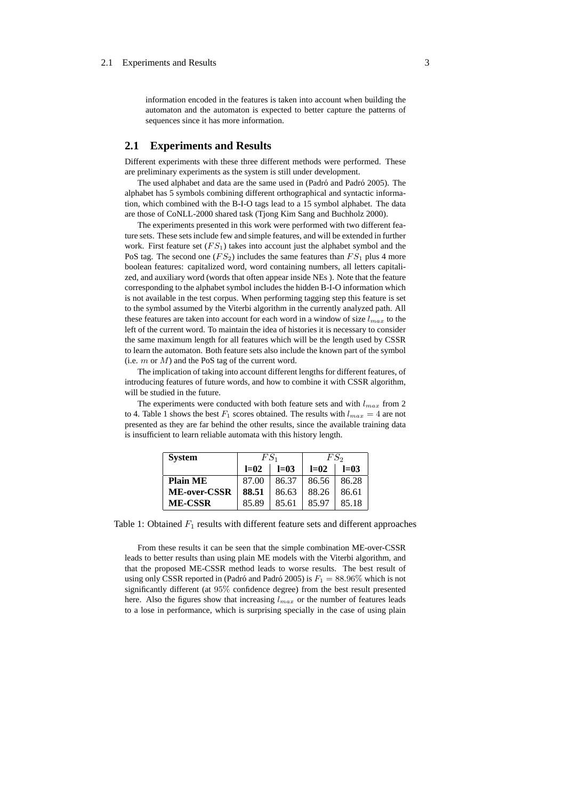#### 2.1 Experiments and Results 3

information encoded in the features is taken into account when building the automaton and the automaton is expected to better capture the patterns of sequences since it has more information.

#### **2.1 Experiments and Results**

Different experiments with these three different methods were performed. These are preliminary experiments as the system is still under development.

The used alphabet and data are the same used in (Padró and Padró 2005). The alphabet has 5 symbols combining different orthographical and syntactic information, which combined with the B-I-O tags lead to a 15 symbol alphabet. The data are those of CoNLL-2000 shared task (Tjong Kim Sang and Buchholz 2000).

The experiments presented in this work were performed with two different feature sets. These sets include few and simple features, and will be extended in further work. First feature set  $(FS_1)$  takes into account just the alphabet symbol and the PoS tag. The second one  $(FS_2)$  includes the same features than  $FS_1$  plus 4 more boolean features: capitalized word, word containing numbers, all letters capitalized, and auxiliary word (words that often appear inside NEs ). Note that the feature corresponding to the alphabet symbol includes the hidden B-I-O information which is not available in the test corpus. When performing tagging step this feature is set to the symbol assumed by the Viterbi algorithm in the currently analyzed path. All these features are taken into account for each word in a window of size  $l_{max}$  to the left of the current word. To maintain the idea of histories it is necessary to consider the same maximum length for all features which will be the length used by CSSR to learn the automaton. Both feature sets also include the known part of the symbol (i.e.  $m$  or  $M$ ) and the PoS tag of the current word.

The implication of taking into account different lengths for different features, of introducing features of future words, and how to combine it with CSSR algorithm, will be studied in the future.

The experiments were conducted with both feature sets and with  $l_{max}$  from 2 to 4. Table 1 shows the best  $F_1$  scores obtained. The results with  $l_{max} = 4$  are not presented as they are far behind the other results, since the available training data is insufficient to learn reliable automata with this history length.

| <b>System</b>   | $FS_1$ |        | FS2    |         |
|-----------------|--------|--------|--------|---------|
|                 | $l=02$ | $l=03$ | $l=02$ | $l=0.3$ |
| <b>Plain ME</b> | 87.00  | 86.37  | 86.56  | 86.28   |
| ME-over-CSSR    | 88.51  | 86.63  | 88.26  | 86.61   |
| <b>ME-CSSR</b>  | 85.89  | 85.61  | 85.97  | 85.18   |

Table 1: Obtained  $F_1$  results with different feature sets and different approaches

From these results it can be seen that the simple combination ME-over-CSSR leads to better results than using plain ME models with the Viterbi algorithm, and that the proposed ME-CSSR method leads to worse results. The best result of using only CSSR reported in (Padró and Padró 2005) is  $F_1 = 88.96\%$  which is not significantly different (at 95% confidence degree) from the best result presented here. Also the figures show that increasing  $l_{max}$  or the number of features leads to a lose in performance, which is surprising specially in the case of using plain